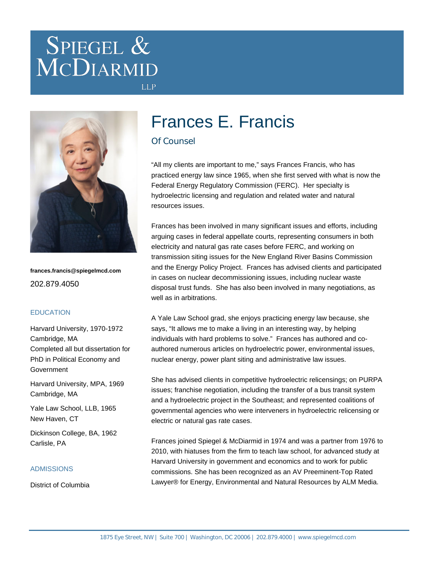# SPIEGEL & MCDIARMID



**frances.francis@spiegelmcd.com** 202.879.4050

#### **EDUCATION**

Harvard University, 1970-1972 Cambridge, MA Completed all but dissertation for PhD in Political Economy and Government

Harvard University, MPA, 1969 Cambridge, MA

Yale Law School, LLB, 1965 New Haven, CT

Dickinson College, BA, 1962 Carlisle, PA

#### ADMISSIONS

District of Columbia

# Frances E. Francis

#### Of Counsel

**LLP** 

"All my clients are important to me," says Frances Francis, who has practiced energy law since 1965, when she first served with what is now the Federal Energy Regulatory Commission (FERC). Her specialty is hydroelectric licensing and regulation and related water and natural resources issues.

Frances has been involved in many significant issues and efforts, including arguing cases in federal appellate courts, representing consumers in both electricity and natural gas rate cases before FERC, and working on transmission siting issues for the New England River Basins Commission and the Energy Policy Project. Frances has advised clients and participated in cases on nuclear decommissioning issues, including nuclear waste disposal trust funds. She has also been involved in many negotiations, as well as in arbitrations.

A Yale Law School grad, she enjoys practicing energy law because, she says, "It allows me to make a living in an interesting way, by helping individuals with hard problems to solve." Frances has authored and coauthored numerous articles on hydroelectric power, environmental issues, nuclear energy, power plant siting and administrative law issues.

She has advised clients in competitive hydroelectric relicensings; on PURPA issues; franchise negotiation, including the transfer of a bus transit system and a hydroelectric project in the Southeast; and represented coalitions of governmental agencies who were interveners in hydroelectric relicensing or electric or natural gas rate cases.

Frances joined Spiegel & McDiarmid in 1974 and was a partner from 1976 to 2010, with hiatuses from the firm to teach law school, for advanced study at Harvard University in government and economics and to work for public commissions. She has been recognized as an AV Preeminent-Top Rated Lawyer® for Energy, Environmental and Natural Resources by ALM Media.